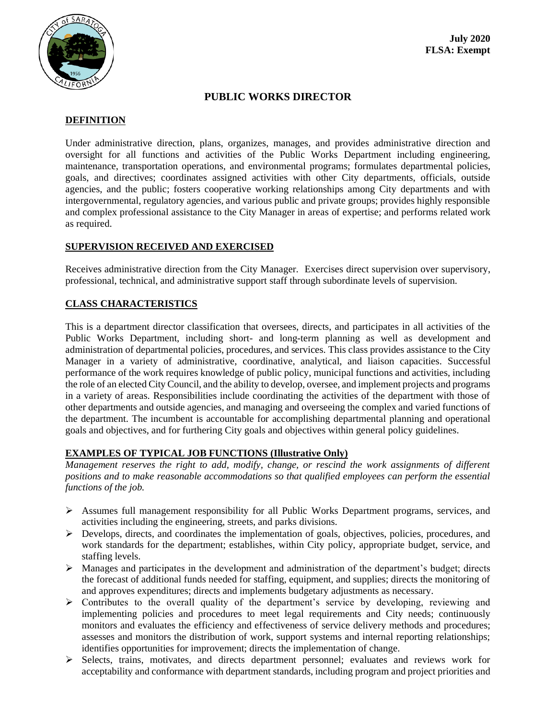

# **PUBLIC WORKS DIRECTOR**

# **DEFINITION**

Under administrative direction, plans, organizes, manages, and provides administrative direction and oversight for all functions and activities of the Public Works Department including engineering, maintenance, transportation operations, and environmental programs; formulates departmental policies, goals, and directives; coordinates assigned activities with other City departments, officials, outside agencies, and the public; fosters cooperative working relationships among City departments and with intergovernmental, regulatory agencies, and various public and private groups; provides highly responsible and complex professional assistance to the City Manager in areas of expertise; and performs related work as required.

### **SUPERVISION RECEIVED AND EXERCISED**

Receives administrative direction from the City Manager. Exercises direct supervision over supervisory, professional, technical, and administrative support staff through subordinate levels of supervision.

## **CLASS CHARACTERISTICS**

This is a department director classification that oversees, directs, and participates in all activities of the Public Works Department, including short- and long-term planning as well as development and administration of departmental policies, procedures, and services. This class provides assistance to the City Manager in a variety of administrative, coordinative, analytical, and liaison capacities. Successful performance of the work requires knowledge of public policy, municipal functions and activities, including the role of an elected City Council, and the ability to develop, oversee, and implement projects and programs in a variety of areas. Responsibilities include coordinating the activities of the department with those of other departments and outside agencies, and managing and overseeing the complex and varied functions of the department. The incumbent is accountable for accomplishing departmental planning and operational goals and objectives, and for furthering City goals and objectives within general policy guidelines.

#### **EXAMPLES OF TYPICAL JOB FUNCTIONS (Illustrative Only)**

*Management reserves the right to add, modify, change, or rescind the work assignments of different positions and to make reasonable accommodations so that qualified employees can perform the essential functions of the job.*

- ➢ Assumes full management responsibility for all Public Works Department programs, services, and activities including the engineering, streets, and parks divisions.
- ➢ Develops, directs, and coordinates the implementation of goals, objectives, policies, procedures, and work standards for the department; establishes, within City policy, appropriate budget, service, and staffing levels.
- $\triangleright$  Manages and participates in the development and administration of the department's budget; directs the forecast of additional funds needed for staffing, equipment, and supplies; directs the monitoring of and approves expenditures; directs and implements budgetary adjustments as necessary.
- $\triangleright$  Contributes to the overall quality of the department's service by developing, reviewing and implementing policies and procedures to meet legal requirements and City needs; continuously monitors and evaluates the efficiency and effectiveness of service delivery methods and procedures; assesses and monitors the distribution of work, support systems and internal reporting relationships; identifies opportunities for improvement; directs the implementation of change.
- ➢ Selects, trains, motivates, and directs department personnel; evaluates and reviews work for acceptability and conformance with department standards, including program and project priorities and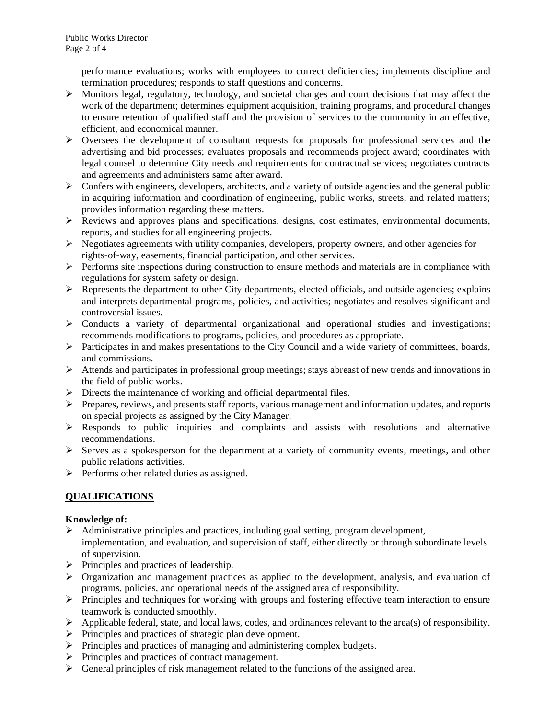performance evaluations; works with employees to correct deficiencies; implements discipline and termination procedures; responds to staff questions and concerns.

- $\triangleright$  Monitors legal, regulatory, technology, and societal changes and court decisions that may affect the work of the department; determines equipment acquisition, training programs, and procedural changes to ensure retention of qualified staff and the provision of services to the community in an effective, efficient, and economical manner.
- ➢ Oversees the development of consultant requests for proposals for professional services and the advertising and bid processes; evaluates proposals and recommends project award; coordinates with legal counsel to determine City needs and requirements for contractual services; negotiates contracts and agreements and administers same after award.
- $\triangleright$  Confers with engineers, developers, architects, and a variety of outside agencies and the general public in acquiring information and coordination of engineering, public works, streets, and related matters; provides information regarding these matters.
- ➢ Reviews and approves plans and specifications, designs, cost estimates, environmental documents, reports, and studies for all engineering projects.
- $\triangleright$  Negotiates agreements with utility companies, developers, property owners, and other agencies for rights-of-way, easements, financial participation, and other services.
- $\triangleright$  Performs site inspections during construction to ensure methods and materials are in compliance with regulations for system safety or design.
- $\triangleright$  Represents the department to other City departments, elected officials, and outside agencies; explains and interprets departmental programs, policies, and activities; negotiates and resolves significant and controversial issues.
- $\triangleright$  Conducts a variety of departmental organizational and operational studies and investigations; recommends modifications to programs, policies, and procedures as appropriate.
- $\triangleright$  Participates in and makes presentations to the City Council and a wide variety of committees, boards, and commissions.
- ➢ Attends and participates in professional group meetings; stays abreast of new trends and innovations in the field of public works.
- ➢ Directs the maintenance of working and official departmental files.
- ➢ Prepares, reviews, and presents staff reports, various management and information updates, and reports on special projects as assigned by the City Manager.
- ➢ Responds to public inquiries and complaints and assists with resolutions and alternative recommendations.
- ➢ Serves as a spokesperson for the department at a variety of community events, meetings, and other public relations activities.
- ➢ Performs other related duties as assigned.

## **QUALIFICATIONS**

## **Knowledge of:**

- $\triangleright$  Administrative principles and practices, including goal setting, program development, implementation, and evaluation, and supervision of staff, either directly or through subordinate levels of supervision.
- ➢ Principles and practices of leadership.
- $\triangleright$  Organization and management practices as applied to the development, analysis, and evaluation of programs, policies, and operational needs of the assigned area of responsibility.
- ➢ Principles and techniques for working with groups and fostering effective team interaction to ensure teamwork is conducted smoothly.
- $\triangleright$  Applicable federal, state, and local laws, codes, and ordinances relevant to the area(s) of responsibility.
- ➢ Principles and practices of strategic plan development.
- ➢ Principles and practices of managing and administering complex budgets.
- ➢ Principles and practices of contract management.
- $\triangleright$  General principles of risk management related to the functions of the assigned area.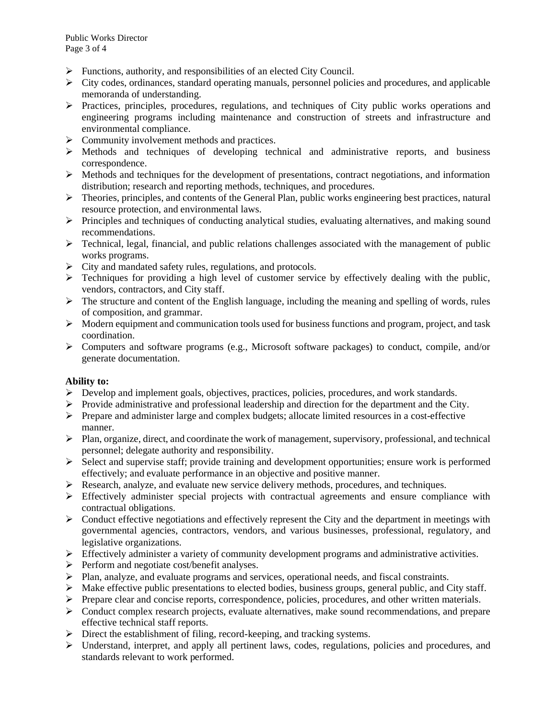- ➢ Functions, authority, and responsibilities of an elected City Council.
- $\triangleright$  City codes, ordinances, standard operating manuals, personnel policies and procedures, and applicable memoranda of understanding.
- ➢ Practices, principles, procedures, regulations, and techniques of City public works operations and engineering programs including maintenance and construction of streets and infrastructure and environmental compliance.
- ➢ Community involvement methods and practices.
- ➢ Methods and techniques of developing technical and administrative reports, and business correspondence.
- $\triangleright$  Methods and techniques for the development of presentations, contract negotiations, and information distribution; research and reporting methods, techniques, and procedures.
- $\triangleright$  Theories, principles, and contents of the General Plan, public works engineering best practices, natural resource protection, and environmental laws.
- ➢ Principles and techniques of conducting analytical studies, evaluating alternatives, and making sound recommendations.
- $\triangleright$  Technical, legal, financial, and public relations challenges associated with the management of public works programs.
- ➢ City and mandated safety rules, regulations, and protocols.
- ➢ Techniques for providing a high level of customer service by effectively dealing with the public, vendors, contractors, and City staff.
- $\triangleright$  The structure and content of the English language, including the meaning and spelling of words, rules of composition, and grammar.
- $\triangleright$  Modern equipment and communication tools used for business functions and program, project, and task coordination.
- $\triangleright$  Computers and software programs (e.g., Microsoft software packages) to conduct, compile, and/or generate documentation.

#### **Ability to:**

- $\triangleright$  Develop and implement goals, objectives, practices, policies, procedures, and work standards.
- ➢ Provide administrative and professional leadership and direction for the department and the City.
- ➢ Prepare and administer large and complex budgets; allocate limited resources in a cost-effective manner.
- ➢ Plan, organize, direct, and coordinate the work of management, supervisory, professional, and technical personnel; delegate authority and responsibility.
- $\triangleright$  Select and supervise staff; provide training and development opportunities; ensure work is performed effectively; and evaluate performance in an objective and positive manner.
- $\triangleright$  Research, analyze, and evaluate new service delivery methods, procedures, and techniques.
- $\triangleright$  Effectively administer special projects with contractual agreements and ensure compliance with contractual obligations.
- ➢ Conduct effective negotiations and effectively represent the City and the department in meetings with governmental agencies, contractors, vendors, and various businesses, professional, regulatory, and legislative organizations.
- $\triangleright$  Effectively administer a variety of community development programs and administrative activities.
- ➢ Perform and negotiate cost/benefit analyses.
- $\triangleright$  Plan, analyze, and evaluate programs and services, operational needs, and fiscal constraints.
- $\triangleright$  Make effective public presentations to elected bodies, business groups, general public, and City staff.
- ➢ Prepare clear and concise reports, correspondence, policies, procedures, and other written materials.
- $\triangleright$  Conduct complex research projects, evaluate alternatives, make sound recommendations, and prepare effective technical staff reports.
- ➢ Direct the establishment of filing, record-keeping, and tracking systems.
- $\triangleright$  Understand, interpret, and apply all pertinent laws, codes, regulations, policies and procedures, and standards relevant to work performed.